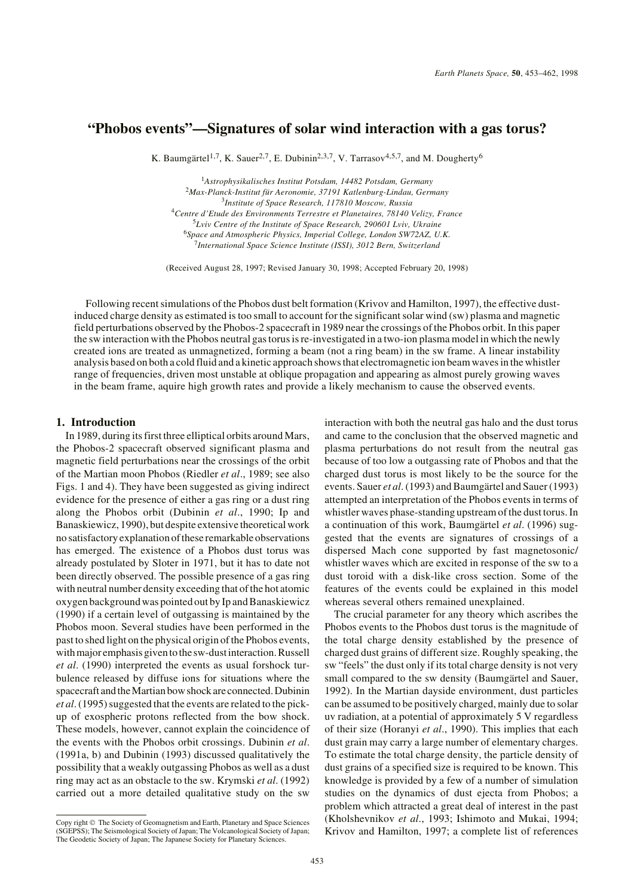# **"Phobos events"—Signatures of solar wind interaction with a gas torus?**

K. Baumgärtel<sup>1,7</sup>, K. Sauer<sup>2,7</sup>, E. Dubinin<sup>2,3,7</sup>, V. Tarrasov<sup>4,5,7</sup>, and M. Dougherty<sup>6</sup>

*Astrophysikalisches Institut Potsdam, 14482 Potsdam, Germany Max-Planck-Institut für Aeronomie, 37191 Katlenburg-Lindau, Germany Institute of Space Research, 117810 Moscow, Russia Centre d'Etude des Environments Terrestre et Planetaires, 78140 Velizy, France Lviv Centre of the Institute of Space Research, 290601 Lviv, Ukraine Space and Atmospheric Physics, Imperial College, London SW72AZ, U.K. International Space Science Institute (ISSI), 3012 Bern, Switzerland*

(Received August 28, 1997; Revised January 30, 1998; Accepted February 20, 1998)

Following recent simulations of the Phobos dust belt formation (Krivov and Hamilton, 1997), the effective dustinduced charge density as estimated is too small to account for the significant solar wind (sw) plasma and magnetic field perturbations observed by the Phobos-2 spacecraft in 1989 near the crossings of the Phobos orbit. In this paper the sw interaction with the Phobos neutral gas torus is re-investigated in a two-ion plasma model in which the newly created ions are treated as unmagnetized, forming a beam (not a ring beam) in the sw frame. A linear instability analysis based on both a cold fluid and a kinetic approach shows that electromagnetic ion beam waves in the whistler range of frequencies, driven most unstable at oblique propagation and appearing as almost purely growing waves in the beam frame, aquire high growth rates and provide a likely mechanism to cause the observed events.

### **1. Introduction**

In 1989, during its first three elliptical orbits around Mars, the Phobos-2 spacecraft observed significant plasma and magnetic field perturbations near the crossings of the orbit of the Martian moon Phobos (Riedler *et al*., 1989; see also Figs. 1 and 4). They have been suggested as giving indirect evidence for the presence of either a gas ring or a dust ring along the Phobos orbit (Dubinin *et al*., 1990; Ip and Banaskiewicz, 1990), but despite extensive theoretical work no satisfactory explanation of these remarkable observations has emerged. The existence of a Phobos dust torus was already postulated by Sloter in 1971, but it has to date not been directly observed. The possible presence of a gas ring with neutral number density exceeding that of the hot atomic oxygen background was pointed out by Ip and Banaskiewicz (1990) if a certain level of outgassing is maintained by the Phobos moon. Several studies have been performed in the past to shed light on the physical origin of the Phobos events, with major emphasis given to the sw-dust interaction. Russell *et al*. (1990) interpreted the events as usual forshock turbulence released by diffuse ions for situations where the spacecraft and the Martian bow shock are connected. Dubinin *et al*. (1995) suggested that the events are related to the pickup of exospheric protons reflected from the bow shock. These models, however, cannot explain the coincidence of the events with the Phobos orbit crossings. Dubinin *et al*. (1991a, b) and Dubinin (1993) discussed qualitatively the possibility that a weakly outgassing Phobos as well as a dust ring may act as an obstacle to the sw. Krymski *et al*. (1992) carried out a more detailed qualitative study on the sw

interaction with both the neutral gas halo and the dust torus and came to the conclusion that the observed magnetic and plasma perturbations do not result from the neutral gas because of too low a outgassing rate of Phobos and that the charged dust torus is most likely to be the source for the events. Sauer *et al*. (1993) and Baumgärtel and Sauer (1993) attempted an interpretation of the Phobos events in terms of whistler waves phase-standing upstream of the dust torus. In a continuation of this work, Baumgärtel *et al*. (1996) suggested that the events are signatures of crossings of a dispersed Mach cone supported by fast magnetosonic/ whistler waves which are excited in response of the sw to a dust toroid with a disk-like cross section. Some of the features of the events could be explained in this model whereas several others remained unexplained.

The crucial parameter for any theory which ascribes the Phobos events to the Phobos dust torus is the magnitude of the total charge density established by the presence of charged dust grains of different size. Roughly speaking, the sw "feels" the dust only if its total charge density is not very small compared to the sw density (Baumgärtel and Sauer, 1992). In the Martian dayside environment, dust particles can be assumed to be positively charged, mainly due to solar uv radiation, at a potential of approximately 5 V regardless of their size (Horanyi *et al*., 1990). This implies that each dust grain may carry a large number of elementary charges. To estimate the total charge density, the particle density of dust grains of a specified size is required to be known. This knowledge is provided by a few of a number of simulation studies on the dynamics of dust ejecta from Phobos; a problem which attracted a great deal of interest in the past (Kholshevnikov *et al*., 1993; Ishimoto and Mukai, 1994; Krivov and Hamilton, 1997; a complete list of references

Copy right © The Society of Geomagnetism and Earth, Planetary and Space Sciences (SGEPSS); The Seismological Society of Japan; The Volcanological Society of Japan; The Geodetic Society of Japan; The Japanese Society for Planetary Sciences.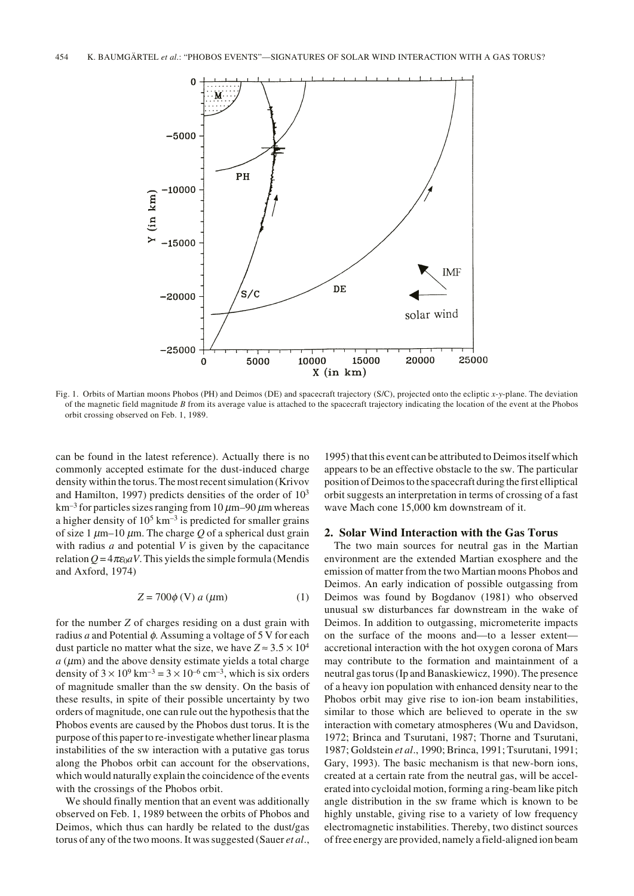

Fig. 1. Orbits of Martian moons Phobos (PH) and Deimos (DE) and spacecraft trajectory (S/C), projected onto the ecliptic *x*-*y*-plane. The deviation of the magnetic field magnitude *B* from its average value is attached to the spacecraft trajectory indicating the location of the event at the Phobos orbit crossing observed on Feb. 1, 1989.

can be found in the latest reference). Actually there is no commonly accepted estimate for the dust-induced charge density within the torus. The most recent simulation (Krivov and Hamilton, 1997) predicts densities of the order of 103 km<sup>-3</sup> for particles sizes ranging from  $10 \mu$ m-90  $\mu$ m whereas a higher density of  $10^5$  km<sup>-3</sup> is predicted for smaller grains of size 1  $\mu$ m–10  $\mu$ m. The charge Q of a spherical dust grain with radius *a* and potential *V* is given by the capacitance relation  $Q = 4\pi\epsilon_0 aV$ . This yields the simple formula (Mendis and Axford, 1974)

$$
Z = 700\phi \text{ (V) } a \text{ (µm)} \tag{1}
$$

for the number *Z* of charges residing on a dust grain with radius *a* and Potential φ. Assuming a voltage of 5 V for each dust particle no matter what the size, we have  $Z \approx 3.5 \times 10^4$  $a(\mu m)$  and the above density estimate yields a total charge density of  $3 \times 10^9$  km<sup>-3</sup> =  $3 \times 10^{-6}$  cm<sup>-3</sup>, which is six orders of magnitude smaller than the sw density. On the basis of these results, in spite of their possible uncertainty by two orders of magnitude, one can rule out the hypothesis that the Phobos events are caused by the Phobos dust torus. It is the purpose of this paper to re-investigate whether linear plasma instabilities of the sw interaction with a putative gas torus along the Phobos orbit can account for the observations, which would naturally explain the coincidence of the events with the crossings of the Phobos orbit.

We should finally mention that an event was additionally observed on Feb. 1, 1989 between the orbits of Phobos and Deimos, which thus can hardly be related to the dust/gas torus of any of the two moons. It was suggested (Sauer *et al*.,

1995) that this event can be attributed to Deimos itself which appears to be an effective obstacle to the sw. The particular position of Deimos to the spacecraft during the first elliptical orbit suggests an interpretation in terms of crossing of a fast wave Mach cone 15,000 km downstream of it.

### **2. Solar Wind Interaction with the Gas Torus**

The two main sources for neutral gas in the Martian environment are the extended Martian exosphere and the emission of matter from the two Martian moons Phobos and Deimos. An early indication of possible outgassing from Deimos was found by Bogdanov (1981) who observed unusual sw disturbances far downstream in the wake of Deimos. In addition to outgassing, micrometerite impacts on the surface of the moons and—to a lesser extent accretional interaction with the hot oxygen corona of Mars may contribute to the formation and maintainment of a neutral gas torus (Ip and Banaskiewicz, 1990). The presence of a heavy ion population with enhanced density near to the Phobos orbit may give rise to ion-ion beam instabilities, similar to those which are believed to operate in the sw interaction with cometary atmospheres (Wu and Davidson, 1972; Brinca and Tsurutani, 1987; Thorne and Tsurutani, 1987; Goldstein *et al*., 1990; Brinca, 1991; Tsurutani, 1991; Gary, 1993). The basic mechanism is that new-born ions, created at a certain rate from the neutral gas, will be accelerated into cycloidal motion, forming a ring-beam like pitch angle distribution in the sw frame which is known to be highly unstable, giving rise to a variety of low frequency electromagnetic instabilities. Thereby, two distinct sources of free energy are provided, namely a field-aligned ion beam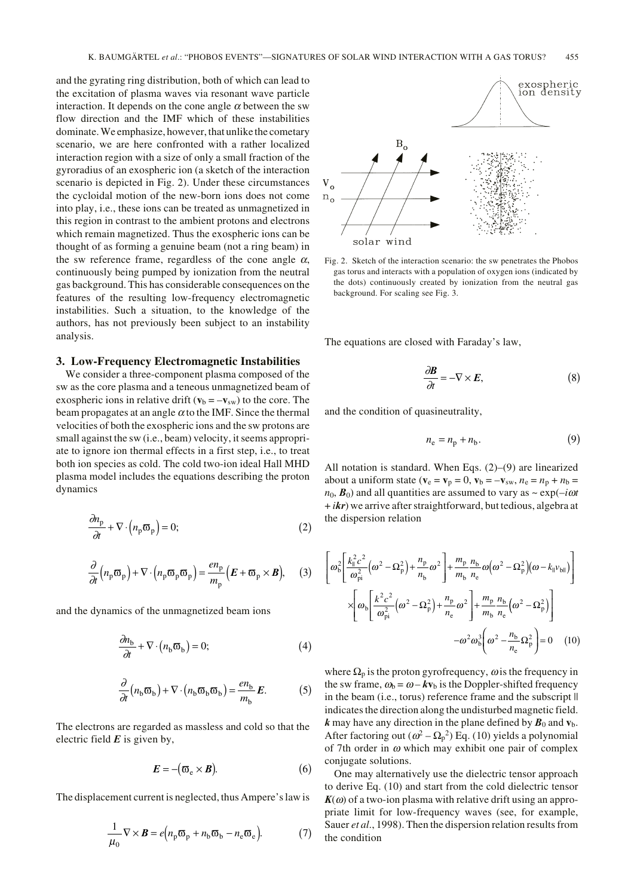and the gyrating ring distribution, both of which can lead to the excitation of plasma waves via resonant wave particle interaction. It depends on the cone angle  $\alpha$  between the sw flow direction and the IMF which of these instabilities dominate. We emphasize, however, that unlike the cometary scenario, we are here confronted with a rather localized interaction region with a size of only a small fraction of the gyroradius of an exospheric ion (a sketch of the interaction scenario is depicted in Fig. 2). Under these circumstances the cycloidal motion of the new-born ions does not come into play, i.e., these ions can be treated as unmagnetized in this region in contrast to the ambient protons and electrons which remain magnetized. Thus the exospheric ions can be thought of as forming a genuine beam (not a ring beam) in the sw reference frame, regardless of the cone angle  $\alpha$ , continuously being pumped by ionization from the neutral gas background. This has considerable consequences on the features of the resulting low-frequency electromagnetic instabilities. Such a situation, to the knowledge of the authors, has not previously been subject to an instability analysis.

## **3. Low-Frequency Electromagnetic Instabilities**

We consider a three-component plasma composed of the sw as the core plasma and a teneous unmagnetized beam of exospheric ions in relative drift  $(v_b = -v_{sw})$  to the core. The beam propagates at an angle  $\alpha$  to the IMF. Since the thermal velocities of both the exospheric ions and the sw protons are small against the sw (i.e., beam) velocity, it seems appropriate to ignore ion thermal effects in a first step, i.e., to treat both ion species as cold. The cold two-ion ideal Hall MHD plasma model includes the equations describing the proton dynamics

$$
\frac{\partial n_{\rm p}}{\partial t} + \nabla \cdot \left( n_{\rm p} \overline{\omega}_{\rm p} \right) = 0; \tag{2}
$$

$$
\frac{\partial}{\partial t}\left(n_p \overline{\omega}_p\right) + \nabla \cdot \left(n_p \overline{\omega}_p \overline{\omega}_p\right) = \frac{en_p}{m_p} \left(E + \overline{\omega}_p \times \mathbf{B}\right), \quad (3)
$$

and the dynamics of the unmagnetized beam ions

$$
\frac{\partial n_{\rm b}}{\partial t} + \nabla \cdot (n_{\rm b} \varpi_{\rm b}) = 0; \tag{4}
$$

$$
\frac{\partial}{\partial t}\left(n_{\rm b}\overline{\omega}_{\rm b}\right) + \nabla \cdot \left(n_{\rm b}\overline{\omega}_{\rm b}\overline{\omega}_{\rm b}\right) = \frac{en_{\rm b}}{m_{\rm b}}\,E. \tag{5}
$$

The electrons are regarded as massless and cold so that the electric field  $E$  is given by,

$$
E = -(\varpi_e \times B). \tag{6}
$$

The displacement current is neglected, thus Ampere's law is

$$
\frac{1}{\mu_0} \nabla \times \boldsymbol{B} = e \big( n_p \boldsymbol{\varpi}_p + n_b \boldsymbol{\varpi}_b - n_e \boldsymbol{\varpi}_e \big).
$$
 (7)



Fig. 2. Sketch of the interaction scenario: the sw penetrates the Phobos gas torus and interacts with a population of oxygen ions (indicated by the dots) continuously created by ionization from the neutral gas background. For scaling see Fig. 3.

The equations are closed with Faraday's law,

$$
\frac{\partial \mathbf{B}}{\partial t} = -\nabla \times \mathbf{E},\tag{8}
$$

and the condition of quasineutrality,

$$
n_{\rm e} = n_{\rm p} + n_{\rm b}.\tag{9}
$$

All notation is standard. When Eqs. (2)–(9) are linearized about a uniform state  $(\mathbf{v}_e = \mathbf{v}_p = 0, \mathbf{v}_b = -\mathbf{v}_{sw}, n_e = n_p + n_b =$  $n_0$ ,  $\mathbf{B}_0$ ) and all quantities are assumed to vary as  $\sim \exp(-i\omega t)$ + *ikr*) we arrive after straightforward, but tedious, algebra at the dispersion relation

$$
\left[\omega_{\rm b}^{2}\left[\frac{k_{\rm l}^{2}c^{2}}{\omega_{\rm pi}^{2}}\left(\omega^{2}-\Omega_{\rm p}^{2}\right)+\frac{n_{\rm p}}{n_{\rm b}}\omega^{2}\right]+\frac{m_{\rm p}}{m_{\rm b}}\frac{n_{\rm b}}{n_{\rm c}}\omega\left(\omega^{2}-\Omega_{\rm p}^{2}\right)\left(\omega-k_{\rm l}v_{\rm bII}\right)\right]
$$
\n
$$
\times\left[\omega_{\rm b}\left[\frac{k^{2}c^{2}}{\omega_{\rm pi}^{2}}\left(\omega^{2}-\Omega_{\rm p}^{2}\right)+\frac{n_{\rm p}}{n_{\rm c}}\omega^{2}\right]+\frac{m_{\rm p}}{m_{\rm b}}\frac{n_{\rm b}}{n_{\rm e}}\left(\omega^{2}-\Omega_{\rm p}^{2}\right)\right]
$$
\n
$$
-\omega^{2}\omega_{\rm b}^{3}\left(\omega^{2}-\frac{n_{\rm b}}{n_{\rm e}}\Omega_{\rm p}^{2}\right)=0\quad(10)
$$

where  $\Omega_p$  is the proton gyrofrequency,  $\omega$  is the frequency in the sw frame,  $\omega_b = \omega - k v_b$  is the Doppler-shifted frequency in the beam (i.e., torus) reference frame and the subscript  $\parallel$ indicates the direction along the undisturbed magnetic field. *k* may have any direction in the plane defined by  $B_0$  and  $v_b$ . After factoring out  $(\omega^2 - \Omega_p^2)$  Eq. (10) yields a polynomial of 7th order in  $\omega$  which may exhibit one pair of complex conjugate solutions.

One may alternatively use the dielectric tensor approach to derive Eq. (10) and start from the cold dielectric tensor  $K(\omega)$  of a two-ion plasma with relative drift using an appropriate limit for low-frequency waves (see, for example, Sauer *et al*., 1998). Then the dispersion relation results from the condition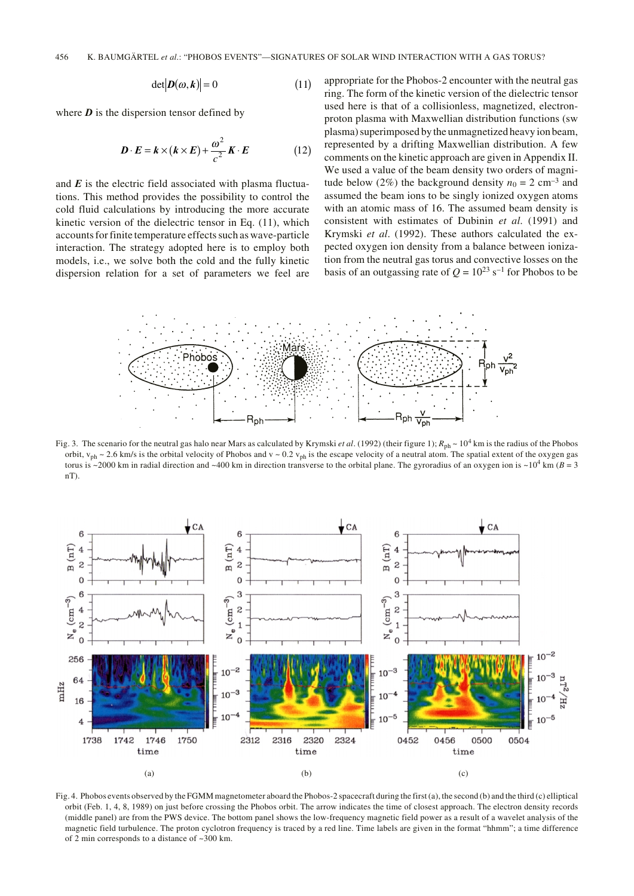$$
\det[\boldsymbol{D}(\omega,\boldsymbol{k})] = 0 \tag{11}
$$

where  $\boldsymbol{D}$  is the dispersion tensor defined by

$$
\boldsymbol{D} \cdot \boldsymbol{E} = \boldsymbol{k} \times (\boldsymbol{k} \times \boldsymbol{E}) + \frac{\omega^2}{c^2} \boldsymbol{K} \cdot \boldsymbol{E}
$$
 (12)

and *E* is the electric field associated with plasma fluctuations. This method provides the possibility to control the cold fluid calculations by introducing the more accurate kinetic version of the dielectric tensor in Eq. (11), which accounts for finite temperature effects such as wave-particle interaction. The strategy adopted here is to employ both models, i.e., we solve both the cold and the fully kinetic dispersion relation for a set of parameters we feel are

appropriate for the Phobos-2 encounter with the neutral gas ring. The form of the kinetic version of the dielectric tensor used here is that of a collisionless, magnetized, electronproton plasma with Maxwellian distribution functions (sw plasma) superimposed by the unmagnetized heavy ion beam, represented by a drifting Maxwellian distribution. A few comments on the kinetic approach are given in Appendix II. We used a value of the beam density two orders of magnitude below (2%) the background density  $n_0 = 2$  cm<sup>-3</sup> and assumed the beam ions to be singly ionized oxygen atoms with an atomic mass of 16. The assumed beam density is consistent with estimates of Dubinin *et al*. (1991) and Krymski *et al*. (1992). These authors calculated the expected oxygen ion density from a balance between ionization from the neutral gas torus and convective losses on the basis of an outgassing rate of  $Q = 10^{23}$  s<sup>-1</sup> for Phobos to be



Fig. 3. The scenario for the neutral gas halo near Mars as calculated by Krymski *et al.* (1992) (their figure 1);  $R_{ph} \sim 10^4$  km is the radius of the Phobos orbit,  $v_{ph} \sim 2.6$  km/s is the orbital velocity of Phobos and v ~ 0.2  $v_{ph}$  is the escape velocity of a neutral atom. The spatial extent of the oxygen gas torus is ~2000 km in radial direction and ~400 km in direction transverse to the orbital plane. The gyroradius of an oxygen ion is ~10<sup>4</sup> km ( $B = 3$ ) nT).



Fig. 4. Phobos events observed by the FGMM magnetometer aboard the Phobos-2 spacecraft during the first (a), the second (b) and the third (c) elliptical orbit (Feb. 1, 4, 8, 1989) on just before crossing the Phobos orbit. The arrow indicates the time of closest approach. The electron density records (middle panel) are from the PWS device. The bottom panel shows the low-frequency magnetic field power as a result of a wavelet analysis of the magnetic field turbulence. The proton cyclotron frequency is traced by a red line. Time labels are given in the format "hhmm"; a time difference of 2 min corresponds to a distance of ~300 km.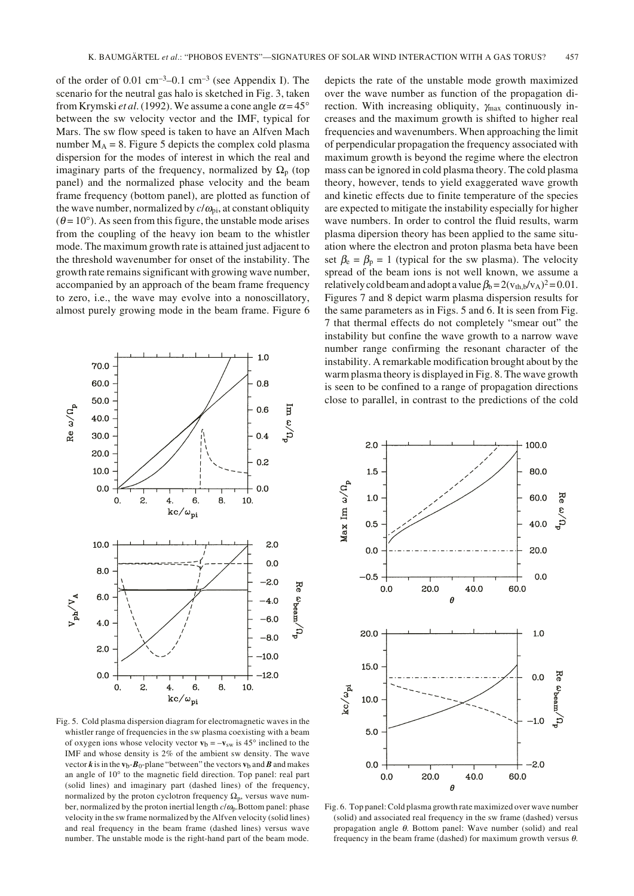of the order of 0.01  $\text{cm}^{-3}$ –0.1  $\text{cm}^{-3}$  (see Appendix I). The scenario for the neutral gas halo is sketched in Fig. 3, taken from Krymski *et al.* (1992). We assume a cone angle  $\alpha = 45^{\circ}$ between the sw velocity vector and the IMF, typical for Mars. The sw flow speed is taken to have an Alfven Mach number  $M_A = 8$ . Figure 5 depicts the complex cold plasma dispersion for the modes of interest in which the real and imaginary parts of the frequency, normalized by  $\Omega_p$  (top panel) and the normalized phase velocity and the beam frame frequency (bottom panel), are plotted as function of the wave number, normalized by  $c/\omega_{\text{pi}}$ , at constant obliquity  $(\theta = 10^{\circ})$ . As seen from this figure, the unstable mode arises from the coupling of the heavy ion beam to the whistler mode. The maximum growth rate is attained just adjacent to the threshold wavenumber for onset of the instability. The growth rate remains significant with growing wave number, accompanied by an approach of the beam frame frequency to zero, i.e., the wave may evolve into a nonoscillatory, almost purely growing mode in the beam frame. Figure 6



Fig. 5. Cold plasma dispersion diagram for electromagnetic waves in the whistler range of frequencies in the sw plasma coexisting with a beam of oxygen ions whose velocity vector  $\mathbf{v}_b = -\mathbf{v}_{sw}$  is 45° inclined to the IMF and whose density is 2% of the ambient sw density. The wave vector  $\vec{k}$  is in the  $\mathbf{v}_b$ - $\vec{B}_0$ -plane "between" the vectors  $\mathbf{v}_b$  and  $\vec{B}$  and makes an angle of 10° to the magnetic field direction. Top panel: real part (solid lines) and imaginary part (dashed lines) of the frequency, normalized by the proton cyclotron frequency  $\Omega_p$ , versus wave number, normalized by the proton inertial length  $c/\omega_p$ . Bottom panel: phase velocity in the sw frame normalized by the Alfven velocity (solid lines) and real frequency in the beam frame (dashed lines) versus wave number. The unstable mode is the right-hand part of the beam mode.

depicts the rate of the unstable mode growth maximized over the wave number as function of the propagation direction. With increasing obliquity, γmax continuously increases and the maximum growth is shifted to higher real frequencies and wavenumbers. When approaching the limit of perpendicular propagation the frequency associated with maximum growth is beyond the regime where the electron mass can be ignored in cold plasma theory. The cold plasma theory, however, tends to yield exaggerated wave growth and kinetic effects due to finite temperature of the species are expected to mitigate the instability especially for higher wave numbers. In order to control the fluid results, warm plasma dipersion theory has been applied to the same situation where the electron and proton plasma beta have been set  $\beta_e = \beta_p = 1$  (typical for the sw plasma). The velocity spread of the beam ions is not well known, we assume a relatively cold beam and adopt a value  $\beta_b = 2(v_{th,b}/v_A)^2 = 0.01$ . Figures 7 and 8 depict warm plasma dispersion results for the same parameters as in Figs. 5 and 6. It is seen from Fig. 7 that thermal effects do not completely "smear out" the instability but confine the wave growth to a narrow wave number range confirming the resonant character of the instability. A remarkable modification brought about by the warm plasma theory is displayed in Fig. 8. The wave growth is seen to be confined to a range of propagation directions close to parallel, in contrast to the predictions of the cold



Fig. 6. Top panel: Cold plasma growth rate maximized over wave number (solid) and associated real frequency in the sw frame (dashed) versus propagation angle θ. Bottom panel: Wave number (solid) and real frequency in the beam frame (dashed) for maximum growth versus  $\theta$ .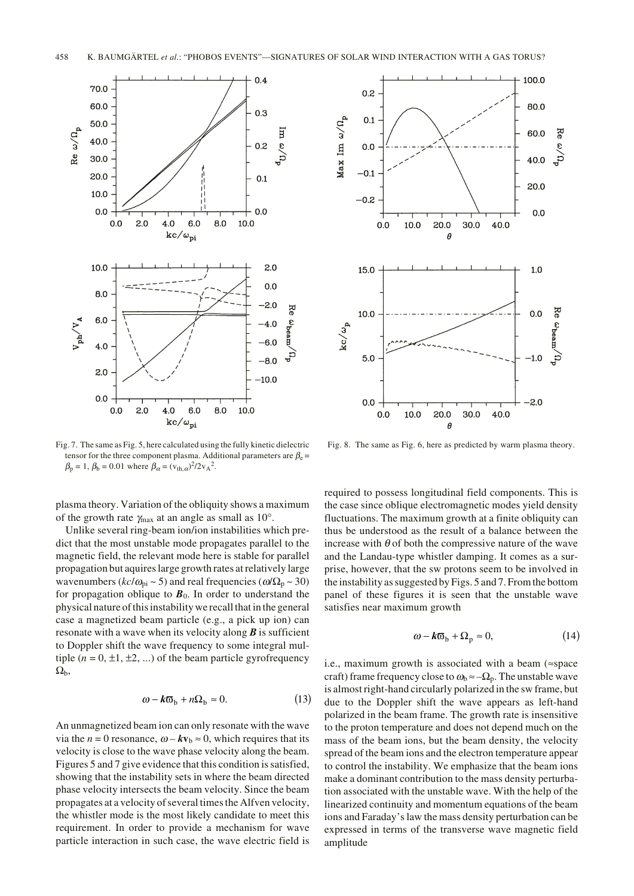

Fig. 7. The same as Fig. 5, here calculated using the fully kinetic dielectric tensor for the three component plasma. Additional parameters are  $\beta_e$  =  $\beta_p = 1, \beta_b = 0.01$  where  $\beta_\alpha = (v_{th,\alpha})^2 / 2v_A^2$ .

plasma theory. Variation of the obliquity shows a maximum of the growth rate  $\gamma_{\text{max}}$  at an angle as small as 10°.

Unlike several ring-beam ion/ion instabilities which predict that the most unstable mode propagates parallel to the magnetic field, the relevant mode here is stable for parallel propagation but aquires large growth rates at relatively large wavenumbers ( $kc/\omega_{pi} \sim 5$ ) and real frequencies ( $\omega/\Omega_p \sim 30$ ) for propagation oblique to  $B_0$ . In order to understand the physical nature of this instability we recall that in the general case a magnetized beam particle (e.g., a pick up ion) can resonate with a wave when its velocity along *B* is sufficient to Doppler shift the wave frequency to some integral multiple  $(n = 0, \pm 1, \pm 2, ...)$  of the beam particle gyrofrequency  $\Omega_{\rm b}$ 

$$
\omega - k\overline{\omega}_b + n\Omega_b \approx 0. \tag{13}
$$

An unmagnetized beam ion can only resonate with the wave via the  $n = 0$  resonance,  $\omega - k v_b \approx 0$ , which requires that its velocity is close to the wave phase velocity along the beam. Figures 5 and 7 give evidence that this condition is satisfied, showing that the instability sets in where the beam directed phase velocity intersects the beam velocity. Since the beam propagates at a velocity of several times the Alfven velocity, the whistler mode is the most likely candidate to meet this requirement. In order to provide a mechanism for wave particle interaction in such case, the wave electric field is



Fig. 8. The same as Fig. 6, here as predicted by warm plasma theory.

required to possess longitudinal field components. This is the case since oblique electromagnetic modes yield density fluctuations. The maximum growth at a finite obliquity can thus be understood as the result of a balance between the increase with  $\theta$  of both the compressive nature of the wave and the Landau-type whistler damping. It comes as a surprise, however, that the sw protons seem to be involved in the instability as suggested by Figs. 5 and 7. From the bottom panel of these figures it is seen that the unstable wave satisfies near maximum growth

$$
\omega - k\overline{\omega}_b + \Omega_p \approx 0, \qquad (14)
$$

i.e., maximum growth is associated with a beam (≈space craft) frame frequency close to  $\omega_{b} \approx -\Omega_{p}$ . The unstable wave is almost right-hand circularly polarized in the sw frame, but due to the Doppler shift the wave appears as left-hand polarized in the beam frame. The growth rate is insensitive to the proton temperature and does not depend much on the mass of the beam ions, but the beam density, the velocity spread of the beam ions and the electron temperature appear to control the instability. We emphasize that the beam ions make a dominant contribution to the mass density perturbation associated with the unstable wave. With the help of the linearized continuity and momentum equations of the beam ions and Faraday's law the mass density perturbation can be expressed in terms of the transverse wave magnetic field amplitude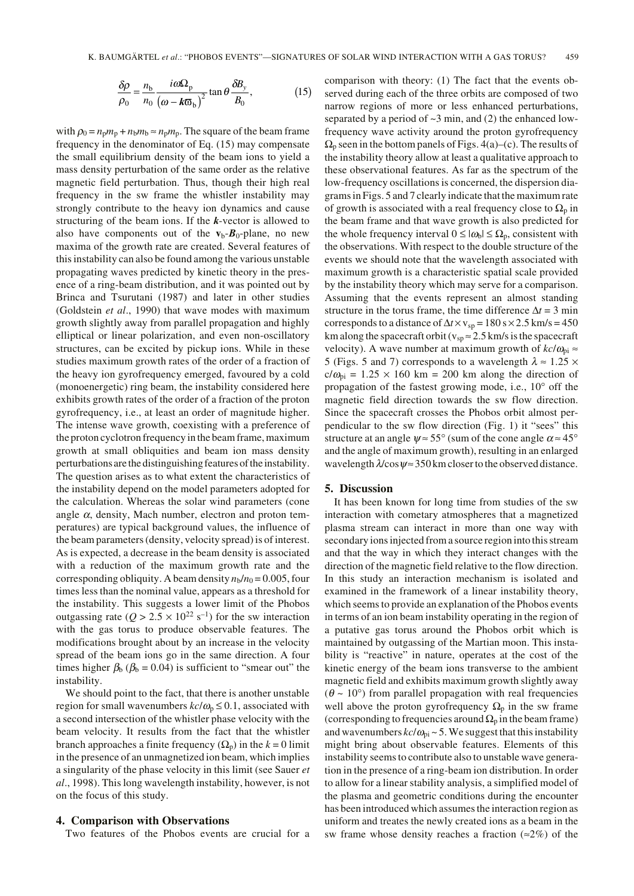$$
\frac{\delta \rho}{\rho_0} = \frac{n_{\rm b}}{n_0} \frac{i \omega \Omega_{\rm p}}{(\omega - k \varpi_{\rm b})^2} \tan \theta \frac{\delta B_{\rm y}}{B_0},\tag{15}
$$

with  $\rho_0 = n_p m_p + n_b m_b \approx n_p m_p$ . The square of the beam frame frequency in the denominator of Eq. (15) may compensate the small equilibrium density of the beam ions to yield a mass density perturbation of the same order as the relative magnetic field perturbation. Thus, though their high real frequency in the sw frame the whistler instability may strongly contribute to the heavy ion dynamics and cause structuring of the beam ions. If the *k*-vector is allowed to also have components out of the  $v_b - B_0$ -plane, no new maxima of the growth rate are created. Several features of this instability can also be found among the various unstable propagating waves predicted by kinetic theory in the presence of a ring-beam distribution, and it was pointed out by Brinca and Tsurutani (1987) and later in other studies (Goldstein *et al*., 1990) that wave modes with maximum growth slightly away from parallel propagation and highly elliptical or linear polarization, and even non-oscillatory structures, can be excited by pickup ions. While in these studies maximum growth rates of the order of a fraction of the heavy ion gyrofrequency emerged, favoured by a cold (monoenergetic) ring beam, the instability considered here exhibits growth rates of the order of a fraction of the proton gyrofrequency, i.e., at least an order of magnitude higher. The intense wave growth, coexisting with a preference of the proton cyclotron frequency in the beam frame, maximum growth at small obliquities and beam ion mass density perturbations are the distinguishing features of the instability. The question arises as to what extent the characteristics of the instability depend on the model parameters adopted for the calculation. Whereas the solar wind parameters (cone angle  $\alpha$ , density, Mach number, electron and proton temperatures) are typical background values, the influence of the beam parameters (density, velocity spread) is of interest. As is expected, a decrease in the beam density is associated with a reduction of the maximum growth rate and the corresponding obliquity. A beam density  $n_b/n_0 = 0.005$ , four times less than the nominal value, appears as a threshold for the instability. This suggests a lower limit of the Phobos outgassing rate  $(Q > 2.5 \times 10^{22} \text{ s}^{-1})$  for the sw interaction with the gas torus to produce observable features. The modifications brought about by an increase in the velocity spread of the beam ions go in the same direction. A four times higher  $\beta_b$  ( $\beta_b$  = 0.04) is sufficient to "smear out" the instability.

We should point to the fact, that there is another unstable region for small wavenumbers  $k\epsilon/\omega_p \leq 0.1$ , associated with a second intersection of the whistler phase velocity with the beam velocity. It results from the fact that the whistler branch approaches a finite frequency  $(\Omega_p)$  in the  $k = 0$  limit in the presence of an unmagnetized ion beam, which implies a singularity of the phase velocity in this limit (see Sauer *et al*., 1998). This long wavelength instability, however, is not on the focus of this study.

# **4. Comparison with Observations**

Two features of the Phobos events are crucial for a

comparison with theory: (1) The fact that the events observed during each of the three orbits are composed of two narrow regions of more or less enhanced perturbations, separated by a period of  $\sim$ 3 min, and (2) the enhanced lowfrequency wave activity around the proton gyrofrequency  $\Omega_p$  seen in the bottom panels of Figs. 4(a)–(c). The results of the instability theory allow at least a qualitative approach to these observational features. As far as the spectrum of the low-frequency oscillations is concerned, the dispersion diagrams in Figs. 5 and 7 clearly indicate that the maximum rate of growth is associated with a real frequency close to  $\Omega_p$  in the beam frame and that wave growth is also predicted for the whole frequency interval  $0 \leq |\omega_{b}| \leq \Omega_{p}$ , consistent with the observations. With respect to the double structure of the events we should note that the wavelength associated with maximum growth is a characteristic spatial scale provided by the instability theory which may serve for a comparison. Assuming that the events represent an almost standing structure in the torus frame, the time difference  $\Delta t = 3$  min corresponds to a distance of  $\Delta t \times v_{sp} = 180 \text{ s} \times 2.5 \text{ km/s} = 450$ km along the spacecraft orbit ( $v_{sp} \approx 2.5$  km/s is the spacecraft velocity). A wave number at maximum growth of  $kc/\omega_{pi} \approx$ 5 (Figs. 5 and 7) corresponds to a wavelength  $\lambda \approx 1.25 \times$  $c/\omega_{pi} = 1.25 \times 160$  km = 200 km along the direction of propagation of the fastest growing mode, i.e., 10° off the magnetic field direction towards the sw flow direction. Since the spacecraft crosses the Phobos orbit almost perpendicular to the sw flow direction (Fig. 1) it "sees" this structure at an angle  $\psi \approx 55^{\circ}$  (sum of the cone angle  $\alpha \approx 45^{\circ}$ ) and the angle of maximum growth), resulting in an enlarged wavelength  $\lambda$ /cos $\psi \approx 350$  km closer to the observed distance.

### **5. Discussion**

It has been known for long time from studies of the sw interaction with cometary atmospheres that a magnetized plasma stream can interact in more than one way with secondary ions injected from a source region into this stream and that the way in which they interact changes with the direction of the magnetic field relative to the flow direction. In this study an interaction mechanism is isolated and examined in the framework of a linear instability theory, which seems to provide an explanation of the Phobos events in terms of an ion beam instability operating in the region of a putative gas torus around the Phobos orbit which is maintained by outgassing of the Martian moon. This instability is "reactive" in nature, operates at the cost of the kinetic energy of the beam ions transverse to the ambient magnetic field and exhibits maximum growth slightly away  $(\theta \sim 10^{\circ})$  from parallel propagation with real frequencies well above the proton gyrofrequency  $\Omega_{p}$  in the sw frame (corresponding to frequencies around  $\Omega_p$  in the beam frame) and wavenumbers  $kc/\omega_{pi}$  ~ 5. We suggest that this instability might bring about observable features. Elements of this instability seems to contribute also to unstable wave generation in the presence of a ring-beam ion distribution. In order to allow for a linear stability analysis, a simplified model of the plasma and geometric conditions during the encounter has been introduced which assumes the interaction region as uniform and treates the newly created ions as a beam in the sw frame whose density reaches a fraction ( $\approx$ 2%) of the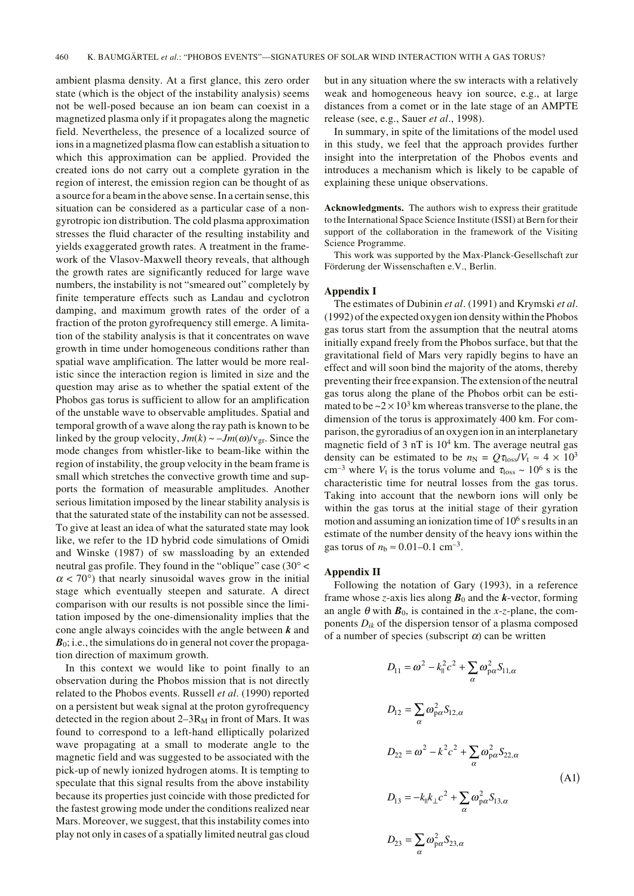ambient plasma density. At a first glance, this zero order state (which is the object of the instability analysis) seems not be well-posed because an ion beam can coexist in a magnetized plasma only if it propagates along the magnetic field. Nevertheless, the presence of a localized source of ions in a magnetized plasma flow can establish a situation to which this approximation can be applied. Provided the created ions do not carry out a complete gyration in the region of interest, the emission region can be thought of as a source for a beam in the above sense. In a certain sense, this situation can be considered as a particular case of a nongyrotropic ion distribution. The cold plasma approximation stresses the fluid character of the resulting instability and yields exaggerated growth rates. A treatment in the framework of the Vlasov-Maxwell theory reveals, that although the growth rates are significantly reduced for large wave numbers, the instability is not "smeared out" completely by finite temperature effects such as Landau and cyclotron damping, and maximum growth rates of the order of a fraction of the proton gyrofrequency still emerge. A limitation of the stability analysis is that it concentrates on wave growth in time under homogeneous conditions rather than spatial wave amplification. The latter would be more realistic since the interaction region is limited in size and the question may arise as to whether the spatial extent of the Phobos gas torus is sufficient to allow for an amplification of the unstable wave to observable amplitudes. Spatial and temporal growth of a wave along the ray path is known to be linked by the group velocity,  $Jm(k) \sim -Jm(\omega)/v_{\text{gr}}$ . Since the mode changes from whistler-like to beam-like within the region of instability, the group velocity in the beam frame is small which stretches the convective growth time and supports the formation of measurable amplitudes. Another serious limitation imposed by the linear stability analysis is that the saturated state of the instability can not be assessed. To give at least an idea of what the saturated state may look like, we refer to the 1D hybrid code simulations of Omidi and Winske (1987) of sw massloading by an extended neutral gas profile. They found in the "oblique" case (30° <  $\alpha$  < 70°) that nearly sinusoidal waves grow in the initial stage which eventually steepen and saturate. A direct comparison with our results is not possible since the limitation imposed by the one-dimensionality implies that the cone angle always coincides with the angle between *k* and  $B_0$ ; i.e., the simulations do in general not cover the propagation direction of maximum growth.

In this context we would like to point finally to an observation during the Phobos mission that is not directly related to the Phobos events. Russell *et al*. (1990) reported on a persistent but weak signal at the proton gyrofrequency detected in the region about  $2-3R_M$  in front of Mars. It was found to correspond to a left-hand elliptically polarized wave propagating at a small to moderate angle to the magnetic field and was suggested to be associated with the pick-up of newly ionized hydrogen atoms. It is tempting to speculate that this signal results from the above instability because its properties just coincide with those predicted for the fastest growing mode under the conditions realized near Mars. Moreover, we suggest, that this instability comes into play not only in cases of a spatially limited neutral gas cloud but in any situation where the sw interacts with a relatively weak and homogeneous heavy ion source, e.g., at large distances from a comet or in the late stage of an AMPTE release (see, e.g., Sauer *et al*., 1998).

In summary, in spite of the limitations of the model used in this study, we feel that the approach provides further insight into the interpretation of the Phobos events and introduces a mechanism which is likely to be capable of explaining these unique observations.

**Acknowledgments.** The authors wish to express their gratitude to the International Space Science Institute (ISSI) at Bern for their support of the collaboration in the framework of the Visiting Science Programme.

This work was supported by the Max-Planck-Gesellschaft zur Förderung der Wissenschaften e.V., Berlin.

### **Appendix I**

The estimates of Dubinin *et al*. (1991) and Krymski *et al*. (1992) of the expected oxygen ion density within the Phobos gas torus start from the assumption that the neutral atoms initially expand freely from the Phobos surface, but that the gravitational field of Mars very rapidly begins to have an effect and will soon bind the majority of the atoms, thereby preventing their free expansion. The extension of the neutral gas torus along the plane of the Phobos orbit can be estimated to be  $\sim 2 \times 10^3$  km whereas transverse to the plane, the dimension of the torus is approximately 400 km. For comparison, the gyroradius of an oxygen ion in an interplanetary magnetic field of  $3 \text{ nT}$  is  $10^4 \text{ km}$ . The average neutral gas density can be estimated to be  $n_N = Q \tau_{loss}/V_t \approx 4 \times 10^3$ cm<sup>-3</sup> where  $V_t$  is the torus volume and  $\tau_{loss} \sim 10^6$  s is the characteristic time for neutral losses from the gas torus. Taking into account that the newborn ions will only be within the gas torus at the initial stage of their gyration motion and assuming an ionization time of 10<sup>6</sup> s results in an estimate of the number density of the heavy ions within the gas torus of  $n_b \approx 0.01 - 0.1$  cm<sup>-3</sup>.

#### **Appendix II**

Following the notation of Gary (1993), in a reference frame whose *z*-axis lies along  $\mathbf{B}_0$  and the *k*-vector, forming an angle  $\theta$  with  $\mathbf{B}_0$ , is contained in the *x*-*z*-plane, the components *Dik* of the dispersion tensor of a plasma composed of a number of species (subscript  $\alpha$ ) can be written

α

$$
D_{11} = \omega^2 - k_{\parallel}^2 c^2 + \sum_{\alpha} \omega_{\text{p}\alpha}^2 S_{11,\alpha}
$$
  
\n
$$
D_{12} = \sum_{\alpha} \omega_{\text{p}\alpha}^2 S_{12,\alpha}
$$
  
\n
$$
D_{22} = \omega^2 - k^2 c^2 + \sum_{\alpha} \omega_{\text{p}\alpha}^2 S_{22,\alpha}
$$
  
\n
$$
D_{13} = -k_{\parallel} k_{\perp} c^2 + \sum_{\alpha} \omega_{\text{p}\alpha}^2 S_{13,\alpha}
$$
  
\n
$$
D_{23} = \sum \omega_{\text{p}\alpha}^2 S_{23,\alpha}
$$
  
\n(A1)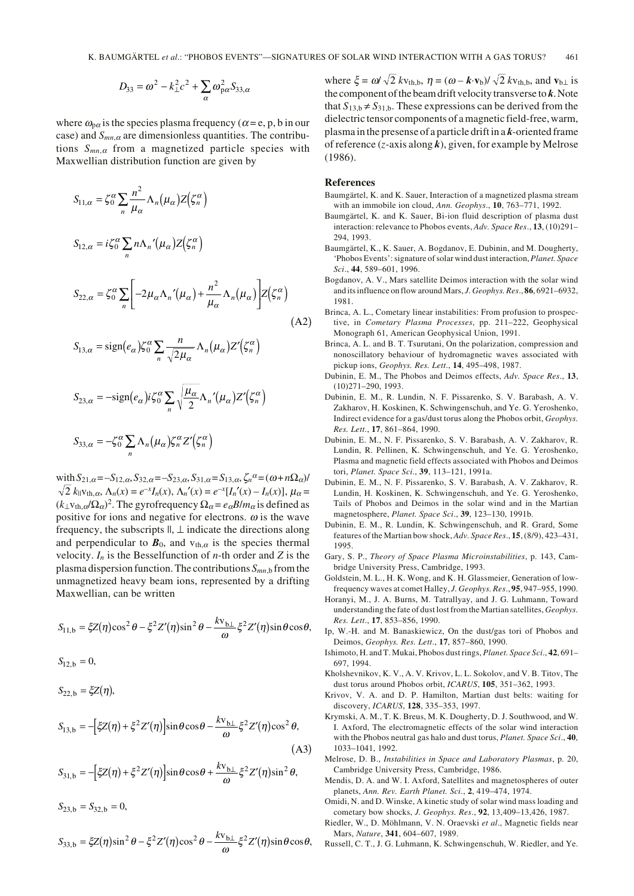$$
D_{33} = \omega^2 - k_{\perp}^2 c^2 + \sum_{\alpha} \omega_{\rm p\alpha}^2 S_{33,\alpha}
$$

where  $\omega_{p\alpha}$  is the species plasma frequency ( $\alpha$  = e, p, b in our case) and  $S_{mn,\alpha}$  are dimensionless quantities. The contributions  $S_{mn,\alpha}$  from a magnetized particle species with Maxwellian distribution function are given by

$$
S_{11,\alpha} = \zeta_0^{\alpha} \sum_n \frac{n^2}{\mu_{\alpha}} \Lambda_n(\mu_{\alpha}) Z(\zeta_n^{\alpha})
$$
  
\n
$$
S_{12,\alpha} = i \zeta_0^{\alpha} \sum_n n \Lambda_n'(\mu_{\alpha}) Z(\zeta_n^{\alpha})
$$
  
\n
$$
S_{22,\alpha} = \zeta_0^{\alpha} \sum_n \left[ -2\mu_{\alpha} \Lambda_n'(\mu_{\alpha}) + \frac{n^2}{\mu_{\alpha}} \Lambda_n(\mu_{\alpha}) \right] Z(\zeta_n^{\alpha})
$$
  
\n
$$
S_{13,\alpha} = sign(e_{\alpha}) \zeta_0^{\alpha} \sum_n \frac{n}{\sqrt{2\mu_{\alpha}}} \Lambda_n(\mu_{\alpha}) Z'(\zeta_n^{\alpha})
$$
\n(A2)

$$
S_{23,\alpha} = -\mathrm{sign}(e_{\alpha})i\zeta_0^{\alpha} \sum_{n} \sqrt{\frac{\mu_{\alpha}}{2}} \Lambda_n'(\mu_{\alpha}) Z'(\zeta_n^{\alpha})
$$

$$
S_{33,\alpha}=-\zeta_0^{\alpha}\sum_n\Lambda_n(\mu_{\alpha})\zeta_n^{\alpha}Z'\left(\zeta_n^{\alpha}\right)
$$

with  $S_{21,\alpha} = -S_{12,\alpha}, S_{32,\alpha} = -S_{23,\alpha}, S_{31,\alpha} = S_{13,\alpha}, \zeta_n^{\alpha} = (\omega + n\Omega_{\alpha})/2$  $\sqrt{2} k_{\parallel}v_{\text{th},\alpha}$ ,  $\Lambda_n(x) = e^{-x}I_n(x)$ ,  $\Lambda_n'(x) = e^{-x}[I_n'(x) - I_n(x)]$ ,  $\mu_\alpha =$  $(k_{\perp}v_{\text{th}}\alpha/\Omega_{\alpha})^2$ . The gyrofrequency  $\Omega_{\alpha} = e_{\alpha}B/m_{\alpha}$  is defined as positive for ions and negative for electrons.  $\omega$  is the wave frequency, the subscripts  $||, \perp$  indicate the directions along and perpendicular to  $\mathbf{B}_0$ , and  $v_{th,\alpha}$  is the species thermal velocity.  $I_n$  is the Bessel function of *n*-th order and *Z* is the plasma dispersion function. The contributions *Smn*,b from the unmagnetized heavy beam ions, represented by a drifting Maxwellian, can be written

$$
S_{11,b} = \xi Z(\eta) \cos^2 \theta - \xi^2 Z'(\eta) \sin^2 \theta - \frac{k v_{b\perp}}{\omega} \xi^2 Z'(\eta) \sin \theta \cos \theta,
$$

$$
S_{12,b}=0,
$$

$$
S_{22,b} = \xi Z(\eta),
$$

$$
S_{13,b} = -\left[\xi Z(\eta) + \xi^2 Z'(\eta)\right] \sin\theta \cos\theta - \frac{k v_{b\perp}}{\omega} \xi^2 Z'(\eta) \cos^2\theta,\tag{A3}
$$

$$
S_{31,b} = -\Big[\xi Z(\eta) + \xi^2 Z'(\eta)\Big] \sin\theta \cos\theta + \frac{k v_{b\perp}}{\omega} \xi^2 Z'(\eta) \sin^2\theta,
$$

 $S_{23, b} = S_{32, b} = 0$ ,

$$
S_{33,b} = \xi Z(\eta) \sin^2 \theta - \xi^2 Z'(\eta) \cos^2 \theta - \frac{k v_{b\perp}}{\omega} \xi^2 Z'(\eta) \sin \theta \cos \theta,
$$

where  $\xi = \omega / \sqrt{2} k v_{\text{th,b}}$ ,  $\eta = (\omega - k v_{\text{b}}) / \sqrt{2} k v_{\text{th,b}}$ , and  $v_{\text{b}}$  is the component of the beam drift velocity transverse to *k*. Note that  $S_{13,b} \neq S_{31,b}$ . These expressions can be derived from the dielectric tensor components of a magnetic field-free, warm, plasma in the presense of a particle drift in a *k*-oriented frame of reference (*z*-axis along *k*), given, for example by Melrose (1986).

### **References**

- Baumgärtel, K. and K. Sauer, Interaction of a magnetized plasma stream with an immobile ion cloud, *Ann. Geophys*., **10**, 763–771, 1992.
- Baumgärtel, K. and K. Sauer, Bi-ion fluid description of plasma dust interaction: relevance to Phobos events, *Adv. Space Res*., **13**, (10)291– 294, 1993.
- Baumgärtel, K., K. Sauer, A. Bogdanov, E. Dubinin, and M. Dougherty, 'Phobos Events': signature of solar wind dust interaction, *Planet. Space Sci*., **44**, 589–601, 1996.
- Bogdanov, A. V., Mars satellite Deimos interaction with the solar wind and its influence on flow around Mars, *J. Geophys. Res*., **86**, 6921–6932, 1981.
- Brinca, A. L., Cometary linear instabilities: From profusion to prospective, in *Cometary Plasma Processes*, pp. 211–222, Geophysical Monograph 61, American Geophysical Union, 1991.
- Brinca, A. L. and B. T. Tsurutani, On the polarization, compression and nonoscillatory behaviour of hydromagnetic waves associated with pickup ions, *Geophys. Res. Lett*., **14**, 495–498, 1987.
- Dubinin, E. M., The Phobos and Deimos effects, *Adv. Space Res*., **13**, (10)271–290, 1993.
- Dubinin, E. M., R. Lundin, N. F. Pissarenko, S. V. Barabash, A. V. Zakharov, H. Koskinen, K. Schwingenschuh, and Ye. G. Yeroshenko, Indirect evidence for a gas/dust torus along the Phobos orbit, *Geophys. Res. Lett*., **17**, 861–864, 1990.
- Dubinin, E. M., N. F. Pissarenko, S. V. Barabash, A. V. Zakharov, R. Lundin, R. Pellinen, K. Schwingenschuh, and Ye. G. Yeroshenko, Plasma and magnetic field effects associated with Phobos and Deimos tori, *Planet. Space Sci*., **39**, 113–121, 1991a.
- Dubinin, E. M., N. F. Pissarenko, S. V. Barabash, A. V. Zakharov, R. Lundin, H. Koskinen, K. Schwingenschuh, and Ye. G. Yeroshenko, Tails of Phobos and Deimos in the solar wind and in the Martian magnetosphere, *Planet. Space Sci*., **39**, 123–130, 1991b.
- Dubinin, E. M., R. Lundin, K. Schwingenschuh, and R. Grard, Some features of the Martian bow shock, *Adv. Space Res*., **15**, (8/9), 423–431, 1995.
- Gary, S. P., *Theory of Space Plasma Microinstabilities*, p. 143, Cambridge University Press, Cambridge, 1993.
- Goldstein, M. L., H. K. Wong, and K. H. Glassmeier, Generation of lowfrequency waves at comet Halley, *J. Geophys. Res*., **95**, 947–955, 1990.
- Horanyi, M., J. A. Burns, M. Tatrallyay, and J. G. Luhmann, Toward understanding the fate of dust lost from the Martian satellites, *Geophys. Res. Lett*., **17**, 853–856, 1990.
- Ip, W.-H. and M. Banaskiewicz, On the dust/gas tori of Phobos and Deimos, *Geophys. Res. Lett*., **17**, 857–860, 1990.
- Ishimoto, H. and T. Mukai, Phobos dust rings, *Planet. Space Sci*., **42**, 691– 697, 1994.
- Kholshevnikov, K. V., A. V. Krivov, L. L. Sokolov, and V. B. Titov, The dust torus around Phobos orbit, *ICARUS*, **105**, 351–362, 1993.
- Krivov, V. A. and D. P. Hamilton, Martian dust belts: waiting for discovery, *ICARUS*, **128**, 335–353, 1997.
- Krymski, A. M., T. K. Breus, M. K. Dougherty, D. J. Southwood, and W. I. Axford, The electromagnetic effects of the solar wind interaction with the Phobos neutral gas halo and dust torus, *Planet. Space Sci*., **40**, 1033–1041, 1992.
- Melrose, D. B., *Instabilities in Space and Laboratory Plasmas*, p. 20, Cambridge University Press, Cambridge, 1986.
- Mendis, D. A. and W. I. Axford, Satellites and magnetospheres of outer planets, *Ann. Rev. Earth Planet. Sci*., **2**, 419–474, 1974.
- Omidi, N. and D. Winske, A kinetic study of solar wind mass loading and cometary bow shocks, *J. Geophys. Res*., **92**, 13,409–13,426, 1987.
- Riedler, W., D. Möhlmann, V. N. Oraevski *et al*., Magnetic fields near Mars, *Nature*, **341**, 604–607, 1989.
- Russell, C. T., J. G. Luhmann, K. Schwingenschuh, W. Riedler, and Ye.